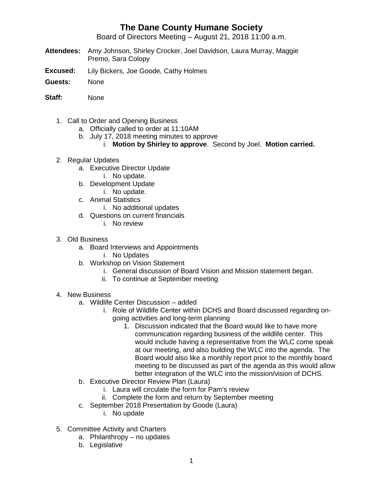## **The Dane County Humane Society**

Board of Directors Meeting – August 21, 2018 11:00 a.m.

- **Attendees:** Amy Johnson, Shirley Crocker, Joel Davidson, Laura Murray, Maggie Premo, Sara Colopy
- **Excused:** Lily Bickers, Joe Goode, Cathy Holmes
- **Guests:** None
- **Staff:** None
	- 1. Call to Order and Opening Business
		- a. Officially called to order at 11:10AM
		- b. July 17, 2018 meeting minutes to approve
			- i. **Motion by Shirley to approve**. Second by Joel. **Motion carried.**
	- 2. Regular Updates
		- a. Executive Director Update
			- i. No update.
		- b. Development Update i. No update.
		- c. Animal Statistics
			-
		- i. No additional updates d. Questions on current financials
			- - i. No review
	- 3. Old Business
		- a. Board Interviews and Appointments
			- i. No Updates
		- b. Workshop on Vision Statement
			- i. General discussion of Board Vision and Mission statement began.
			- ii. To continue at September meeting
	- 4. New Business
		- a. Wildlife Center Discussion added
			- i. Role of Wildlife Center within DCHS and Board discussed regarding ongoing activities and long-term planning
				- 1. Discussion indicated that the Board would like to have more communication regarding business of the wildlife center. This would include having a representative from the WLC come speak at our meeting, and also building the WLC into the agenda. The Board would also like a monthly report prior to the monthly board meeting to be discussed as part of the agenda as this would allow better integration of the WLC into the mission/vision of DCHS.
		- b. Executive Director Review Plan (Laura)
			- i. Laura will circulate the form for Pam's review
			- ii. Complete the form and return by September meeting
		- c. September 2018 Presentation by Goode (Laura)
			- i. No update
	- 5. Committee Activity and Charters
		- a. Philanthropy no updates
		- b. Legislative